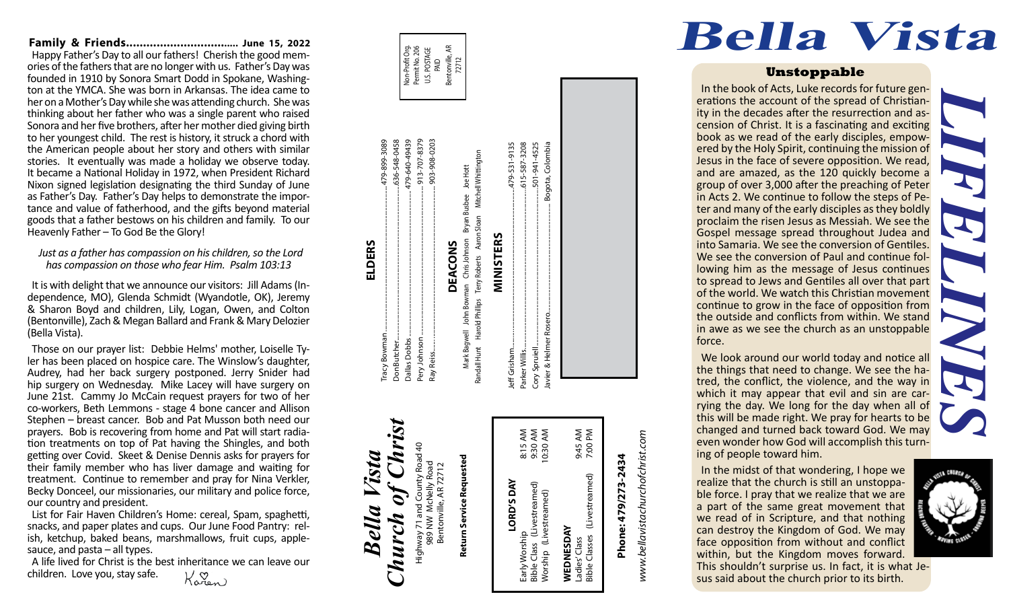**Family & Friends.................................. June 15, 2022** Happy Father's Day to all our fathers! Cherish the good mem ories of the fathers that are no longer with us. Father's Day was founded in 1910 by Sonora Smart Dodd in Spokane, Washing ton at the YMCA. She was born in Arkansas. The idea came to her on a Mother's Day while she was attending church. She was thinking about her father who was a single parent who raised Sonora and her five brothers, after her mother died giving birth to her youngest child. The rest is history, it struck a chord with the American people about her story and others with similar stories. It eventually was made a holiday we observe today. It became a National Holiday in 1972, when President Richard Nixon signed legislation designating the third Sunday of June as Father's Day. Father's Day helps to demonstrate the impor tance and value of fatherhood, and the gifts beyond material goods that a father bestows on his children and family. To our Heavenly Father – To God Be the Glory!

*Just as a father has compassion on his children, so the Lord has compassion on those who fear Him. Psalm 103:13*

It is with delight that we announce our visitors: Jill Adams (In dependence, MO), Glenda Schmidt (Wyandotle, OK), Jeremy & Sharon Boyd and children, Lily, Logan, Owen, and Colton (Bentonville), Zach & Megan Ballard and Frank & Mary Delozier (Bella Vista).

Those on our prayer list: Debbie Helms' mother, Loiselle Ty ler has been placed on hospice care. The Winslow's daughter, Audrey, had her back surgery postponed. Jerry Snider had hip surgery on Wednesday. Mike Lacey will have surgery on June 21st. Cammy Jo McCain request prayers for two of her co-workers, Beth Lemmons - stage 4 bone cancer and Allison Stephen – breast cancer. Bob and Pat Musson both need our prayers. Bob is recovering from home and Pat will start radia tion treatments on top of Pat having the Shingles, and both getting over Covid. Skeet & Denise Dennis asks for prayers for their family member who has liver damage and waiting for treatment. Continue to remember and pray for Nina Verkler, Becky Donceel, our missionaries, our military and police force, our country and president.

List for Fair Haven Children's Home: cereal, Spam, spaghetti, snacks, and paper plates and cups. Our June Food Pantry: rel ish, ketchup, baked beans, marshmallows, fruit cups, apple sauce, and pasta – all types.

A life lived for Christ is the best inheritance we can leave our children. Love you, stay safe.Karen

Æ Non-Profit Org. Bentonville, AR Non-Profit Org.<br>Permit No. 206 Permit No. 206 U.S. POSTAGE PAID<br>orville<br>72712

#### Tracy Bowman........................................................................................479-899-3089 Don Butcher..............................................................................................636-548-0458 479-640-49439 913-707-8379 Pery Johnson .......................................................................................... 913-707-8379 Ray Reiss....... ............................................................................................ 903-908-0203 899-3089 636-548-0458 Dallas Dobbs........................................................................................ 479-640-49439 903-908-0203 Mitchell Whittington Randall Hunt Harold Phillips Terry Roberts Aaron Sloan Mitchell Whittington John Bowman Chris Johnson Bryan Busbee Joe Hott<br>Id Phillips Terry Roberts Aaron Sloan Mitchell Whittin Mark Bagwell John Bowman Chris Johnson Bryan Busbee Joe Hott MINISTERS DEACONS **DEACONS** Harold Phillips Mark Bagwell Tracy Bowman Dallas Dobbs. Pery Johnson **Don Butcher** Randall Hunt Ray Reiss..

*Bella Vista*

Bella

Vista

**ELDERS**

Jeff Grisham................................................................................................479-531-9135 Parker Willis.................................................................................................615-587-3208 Cory Spruiell...............................................................................................501-941-4525 Javier & Helmer Rosero.................................................................. Bogota, Colombia lavier & Helmer Rosero. Cory Spruiell... leff Grisham Parker Willis *Church of Christ* 8:15 AM<br>9:30 AM<br>10:30 AM 9:45 AM<br>7:00 PM Early Worship 8:15 AM Bible Class (Livestreamed) 9:30 AM Worship (Livestreamed) 10:30 AM Ladies' Class 9:45 AM Bible Classes (Livestreamed) 7:00 PM  $of$   $Chr$ Highway 71 and County Road 40 Road. Return Service Requested way 71 and County Roac<br>989 NW McNelly Road<br>Bentonville, AR 72712 **Return Service Requested** 989 NW McNelly Road Bentonville, AR 72712 (Livestreamed) Early Worship<br>Bible Class(Livestreamed)<br>Worship(Livestreamed) **LORD'S DAY** LORD'S DAY Highway 71 and C<br>989 NW Mch **Church WEDNESDAY**<br>Ladies' Class<br>Bible Classes (Li **WEDNESDAY**

**MINISTERS**

615-587-3208 501-941-4525 Bogota, Colombia

479-531-9135

# Phone: 479/273-2434 **Phone: 479/273-2434**

www.bellavistachurchofchrist.com *www.bellavistachurchofchrist.com*

## In the midst of that wondering, I hope we realize that the church is still an unstoppa ble force. I pray that we realize that we are

a part of the same great movement that we read of in Scripture, and that nothing can destroy the Kingdom of God. We may face opposition from without and conflict within, but the Kingdom moves forward. This shouldn't surprise us. In fact, it is what Je sus said about the church prior to its birth.



### **Bella Vista**

#### **Unstoppable**

In the book of Acts, Luke records for future gen erations the account of the spread of Christian-<br>ity in the decades after the resurrection and as-<br>cension of Christ. It is a fascinating and exciting book as we read of the early disciples, empow ered by the Holy Spirit, continuing the mission of Jesus in the face of severe opposition. We read, and are amazed, as the 120 quickly become a group of over 3,000 after the preaching of Peter in Acts 2. We continue to follow the steps of Pe ter and many of the early disciples as they boldly proclaim the risen Jesus as Messiah. We see the Gospel message spread throughout Judea and into Samaria. We see the conversion of Gentiles. We see the conversion of Paul and continue following him as the message of Jesus continues to spread to Jews and Gentiles all over that part of the world. We watch this Christian movement continue to grow in the face of opposition from the outside and conflicts from within. We stand in awe as we see the church as an unstoppable force.

We look around our world today and notice all the things that need to change. We see the ha tred, the conflict, the violence, and the way in which it may appear that evil and sin are car rying the day. We long for the day when all of this will be made right. We pray for hearts to be changed and turned back toward God. We may even wonder how God will accomplish this turn - ing of people toward him.